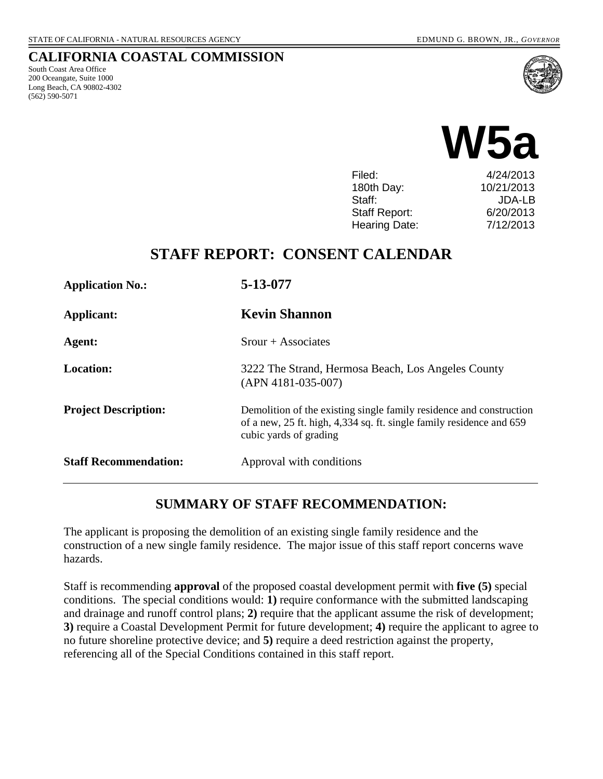#### **CALIFORNIA COASTAL COMMISSION**

South Coast Area Office 200 Oceangate, Suite 1000 Long Beach, CA 90802-4302 (562) 590-5071





| Filed:        | 4/24/2013     |
|---------------|---------------|
| 180th Day:    | 10/21/2013    |
| Staff:        | <b>JDA-LB</b> |
| Staff Report: | 6/20/2013     |
| Hearing Date: | 7/12/2013     |
|               |               |

## **STAFF REPORT: CONSENT CALENDAR**

| <b>Application No.:</b>      | 5-13-077                                                                                                                                                              |  |
|------------------------------|-----------------------------------------------------------------------------------------------------------------------------------------------------------------------|--|
| Applicant:                   | <b>Kevin Shannon</b>                                                                                                                                                  |  |
| Agent:                       | $S_{\text{rour}} + A_{\text{ssociates}}$                                                                                                                              |  |
| <b>Location:</b>             | 3222 The Strand, Hermosa Beach, Los Angeles County<br>$(APN 4181-035-007)$                                                                                            |  |
| <b>Project Description:</b>  | Demolition of the existing single family residence and construction<br>of a new, 25 ft. high, 4,334 sq. ft. single family residence and 659<br>cubic yards of grading |  |
| <b>Staff Recommendation:</b> | Approval with conditions                                                                                                                                              |  |

### **SUMMARY OF STAFF RECOMMENDATION:**

The applicant is proposing the demolition of an existing single family residence and the construction of a new single family residence. The major issue of this staff report concerns wave hazards.

Staff is recommending **approval** of the proposed coastal development permit with **five (5)** special conditions. The special conditions would: **1)** require conformance with the submitted landscaping and drainage and runoff control plans; **2)** require that the applicant assume the risk of development; **3)** require a Coastal Development Permit for future development; **4)** require the applicant to agree to no future shoreline protective device; and **5)** require a deed restriction against the property, referencing all of the Special Conditions contained in this staff report.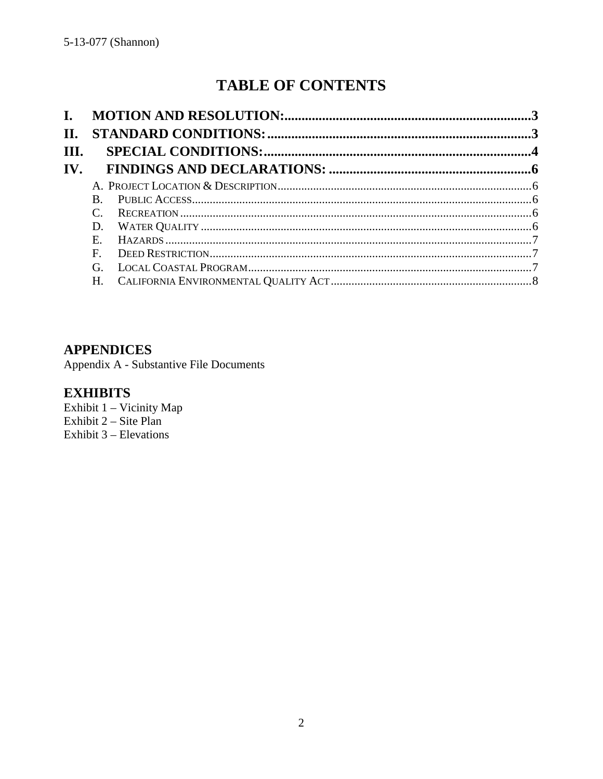# **TABLE OF CONTENTS**

| $\mathbf{I}$ .        |    |  |
|-----------------------|----|--|
| II.                   |    |  |
| III.                  |    |  |
| $\mathbf{IV}_{\cdot}$ |    |  |
|                       |    |  |
|                       | B. |  |
|                       |    |  |
|                       | D. |  |
|                       | E. |  |
|                       | F. |  |
|                       | G. |  |
|                       | Н. |  |

## **APPENDICES**

Appendix A - Substantive File Documents

### **EXHIBITS**

Exhibit 1 - Vicinity Map Exhibit  $2 - \text{Site Plan}$ Exhibit  $3$  – Elevations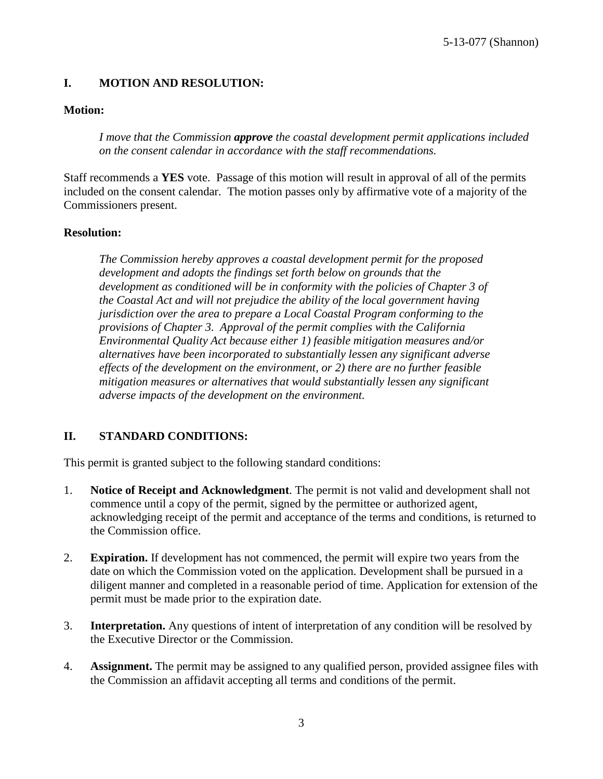### <span id="page-2-0"></span>**I. MOTION AND RESOLUTION:**

#### **Motion:**

*I move that the Commission approve the coastal development permit applications included on the consent calendar in accordance with the staff recommendations.*

Staff recommends a **YES** vote. Passage of this motion will result in approval of all of the permits included on the consent calendar. The motion passes only by affirmative vote of a majority of the Commissioners present.

#### **Resolution:**

*The Commission hereby approves a coastal development permit for the proposed development and adopts the findings set forth below on grounds that the development as conditioned will be in conformity with the policies of Chapter 3 of the Coastal Act and will not prejudice the ability of the local government having jurisdiction over the area to prepare a Local Coastal Program conforming to the provisions of Chapter 3. Approval of the permit complies with the California Environmental Quality Act because either 1) feasible mitigation measures and/or alternatives have been incorporated to substantially lessen any significant adverse effects of the development on the environment, or 2) there are no further feasible mitigation measures or alternatives that would substantially lessen any significant adverse impacts of the development on the environment.*

### <span id="page-2-1"></span>**II. STANDARD CONDITIONS:**

This permit is granted subject to the following standard conditions:

- 1. **Notice of Receipt and Acknowledgment**. The permit is not valid and development shall not commence until a copy of the permit, signed by the permittee or authorized agent, acknowledging receipt of the permit and acceptance of the terms and conditions, is returned to the Commission office.
- 2. **Expiration.** If development has not commenced, the permit will expire two years from the date on which the Commission voted on the application. Development shall be pursued in a diligent manner and completed in a reasonable period of time. Application for extension of the permit must be made prior to the expiration date.
- 3. **Interpretation.** Any questions of intent of interpretation of any condition will be resolved by the Executive Director or the Commission.
- 4. **Assignment.** The permit may be assigned to any qualified person, provided assignee files with the Commission an affidavit accepting all terms and conditions of the permit.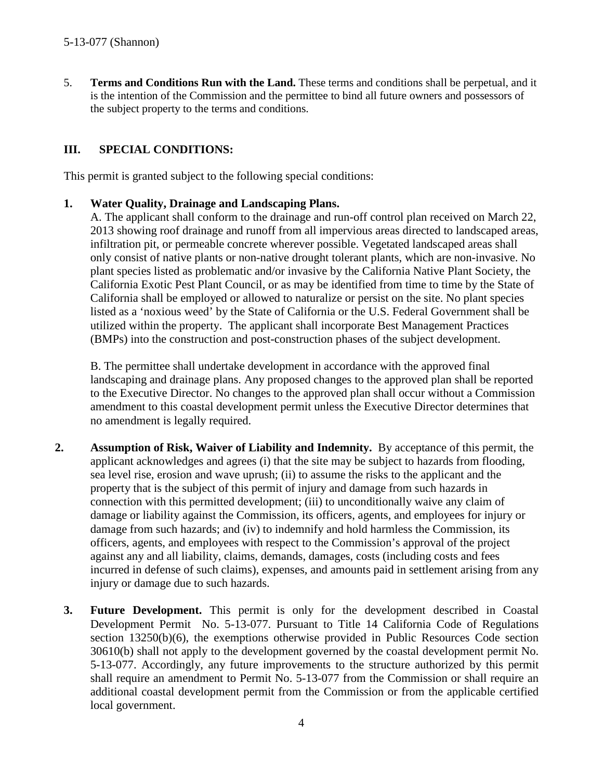5. **Terms and Conditions Run with the Land.** These terms and conditions shall be perpetual, and it is the intention of the Commission and the permittee to bind all future owners and possessors of the subject property to the terms and conditions.

### <span id="page-3-0"></span>**III. SPECIAL CONDITIONS:**

This permit is granted subject to the following special conditions:

#### **1. Water Quality, Drainage and Landscaping Plans.**

A. The applicant shall conform to the drainage and run-off control plan received on March 22, 2013 showing roof drainage and runoff from all impervious areas directed to landscaped areas, infiltration pit, or permeable concrete wherever possible. Vegetated landscaped areas shall only consist of native plants or non-native drought tolerant plants, which are non-invasive. No plant species listed as problematic and/or invasive by the California Native Plant Society, the California Exotic Pest Plant Council, or as may be identified from time to time by the State of California shall be employed or allowed to naturalize or persist on the site. No plant species listed as a 'noxious weed' by the State of California or the U.S. Federal Government shall be utilized within the property. The applicant shall incorporate Best Management Practices (BMPs) into the construction and post-construction phases of the subject development.

B. The permittee shall undertake development in accordance with the approved final landscaping and drainage plans. Any proposed changes to the approved plan shall be reported to the Executive Director. No changes to the approved plan shall occur without a Commission amendment to this coastal development permit unless the Executive Director determines that no amendment is legally required.

- **2. Assumption of Risk, Waiver of Liability and Indemnity.** By acceptance of this permit, the applicant acknowledges and agrees (i) that the site may be subject to hazards from flooding, sea level rise, erosion and wave uprush; (ii) to assume the risks to the applicant and the property that is the subject of this permit of injury and damage from such hazards in connection with this permitted development; (iii) to unconditionally waive any claim of damage or liability against the Commission, its officers, agents, and employees for injury or damage from such hazards; and (iv) to indemnify and hold harmless the Commission, its officers, agents, and employees with respect to the Commission's approval of the project against any and all liability, claims, demands, damages, costs (including costs and fees incurred in defense of such claims), expenses, and amounts paid in settlement arising from any injury or damage due to such hazards.
	- **3. Future Development.** This permit is only for the development described in Coastal Development Permit No. 5-13-077. Pursuant to Title 14 California Code of Regulations section 13250(b)(6), the exemptions otherwise provided in Public Resources Code section 30610(b) shall not apply to the development governed by the coastal development permit No. 5-13-077. Accordingly, any future improvements to the structure authorized by this permit shall require an amendment to Permit No. 5-13-077 from the Commission or shall require an additional coastal development permit from the Commission or from the applicable certified local government.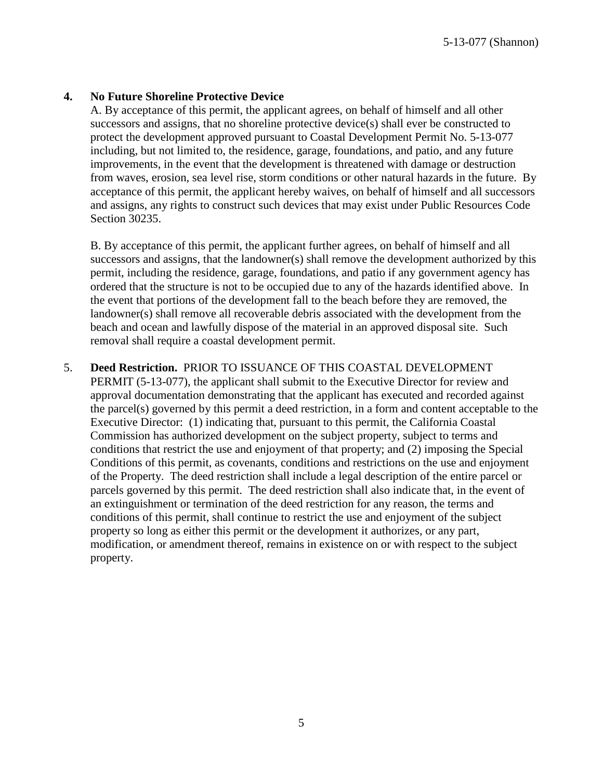5-13-077 (Shannon)

#### **4. No Future Shoreline Protective Device**

A. By acceptance of this permit, the applicant agrees, on behalf of himself and all other successors and assigns, that no shoreline protective device(s) shall ever be constructed to protect the development approved pursuant to Coastal Development Permit No. 5-13-077 including, but not limited to, the residence, garage, foundations, and patio, and any future improvements, in the event that the development is threatened with damage or destruction from waves, erosion, sea level rise, storm conditions or other natural hazards in the future. By acceptance of this permit, the applicant hereby waives, on behalf of himself and all successors and assigns, any rights to construct such devices that may exist under Public Resources Code Section 30235.

B. By acceptance of this permit, the applicant further agrees, on behalf of himself and all successors and assigns, that the landowner(s) shall remove the development authorized by this permit, including the residence, garage, foundations, and patio if any government agency has ordered that the structure is not to be occupied due to any of the hazards identified above. In the event that portions of the development fall to the beach before they are removed, the landowner(s) shall remove all recoverable debris associated with the development from the beach and ocean and lawfully dispose of the material in an approved disposal site. Such removal shall require a coastal development permit.

5. **Deed Restriction.** PRIOR TO ISSUANCE OF THIS COASTAL DEVELOPMENT PERMIT (5-13-077), the applicant shall submit to the Executive Director for review and approval documentation demonstrating that the applicant has executed and recorded against the parcel(s) governed by this permit a deed restriction, in a form and content acceptable to the Executive Director: (1) indicating that, pursuant to this permit, the California Coastal Commission has authorized development on the subject property, subject to terms and conditions that restrict the use and enjoyment of that property; and (2) imposing the Special Conditions of this permit, as covenants, conditions and restrictions on the use and enjoyment of the Property. The deed restriction shall include a legal description of the entire parcel or parcels governed by this permit. The deed restriction shall also indicate that, in the event of an extinguishment or termination of the deed restriction for any reason, the terms and conditions of this permit, shall continue to restrict the use and enjoyment of the subject property so long as either this permit or the development it authorizes, or any part, modification, or amendment thereof, remains in existence on or with respect to the subject property.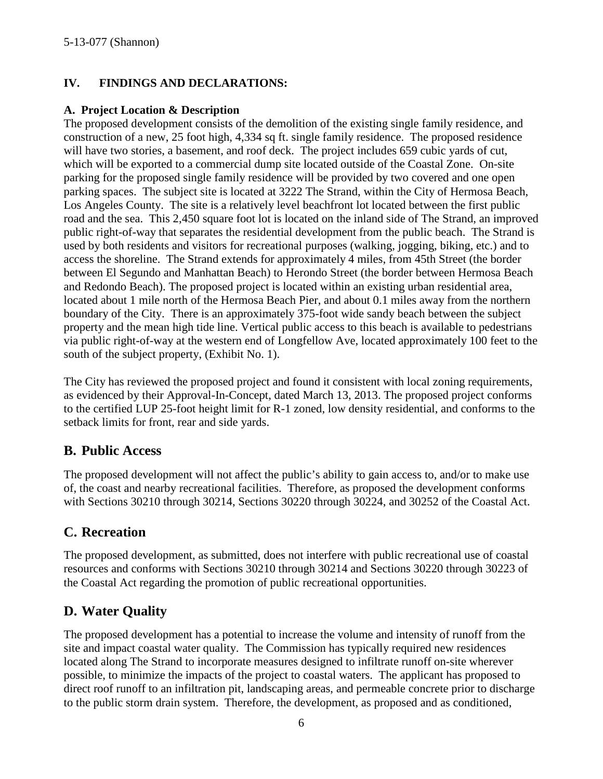### <span id="page-5-0"></span>**IV. FINDINGS AND DECLARATIONS:**

#### <span id="page-5-1"></span>**A. Project Location & Description**

The proposed development consists of the demolition of the existing single family residence, and construction of a new, 25 foot high, 4,334 sq ft. single family residence. The proposed residence will have two stories, a basement, and roof deck. The project includes 659 cubic yards of cut, which will be exported to a commercial dump site located outside of the Coastal Zone. On-site parking for the proposed single family residence will be provided by two covered and one open parking spaces. The subject site is located at 3222 The Strand, within the City of Hermosa Beach, Los Angeles County. The site is a relatively level beachfront lot located between the first public road and the sea. This 2,450 square foot lot is located on the inland side of The Strand, an improved public right-of-way that separates the residential development from the public beach. The Strand is used by both residents and visitors for recreational purposes (walking, jogging, biking, etc.) and to access the shoreline. The Strand extends for approximately 4 miles, from 45th Street (the border between El Segundo and Manhattan Beach) to Herondo Street (the border between Hermosa Beach and Redondo Beach). The proposed project is located within an existing urban residential area, located about 1 mile north of the Hermosa Beach Pier, and about 0.1 miles away from the northern boundary of the City. There is an approximately 375-foot wide sandy beach between the subject property and the mean high tide line. Vertical public access to this beach is available to pedestrians via public right-of-way at the western end of Longfellow Ave, located approximately 100 feet to the south of the subject property, (Exhibit No. 1).

The City has reviewed the proposed project and found it consistent with local zoning requirements, as evidenced by their Approval-In-Concept, dated March 13, 2013. The proposed project conforms to the certified LUP 25-foot height limit for R-1 zoned, low density residential, and conforms to the setback limits for front, rear and side yards.

## <span id="page-5-2"></span>**B. Public Access**

The proposed development will not affect the public's ability to gain access to, and/or to make use of, the coast and nearby recreational facilities. Therefore, as proposed the development conforms with Sections 30210 through 30214, Sections 30220 through 30224, and 30252 of the Coastal Act.

## <span id="page-5-3"></span>**C. Recreation**

The proposed development, as submitted, does not interfere with public recreational use of coastal resources and conforms with Sections 30210 through 30214 and Sections 30220 through 30223 of the Coastal Act regarding the promotion of public recreational opportunities.

## <span id="page-5-4"></span>**D. Water Quality**

The proposed development has a potential to increase the volume and intensity of runoff from the site and impact coastal water quality. The Commission has typically required new residences located along The Strand to incorporate measures designed to infiltrate runoff on-site wherever possible, to minimize the impacts of the project to coastal waters. The applicant has proposed to direct roof runoff to an infiltration pit, landscaping areas, and permeable concrete prior to discharge to the public storm drain system. Therefore, the development, as proposed and as conditioned,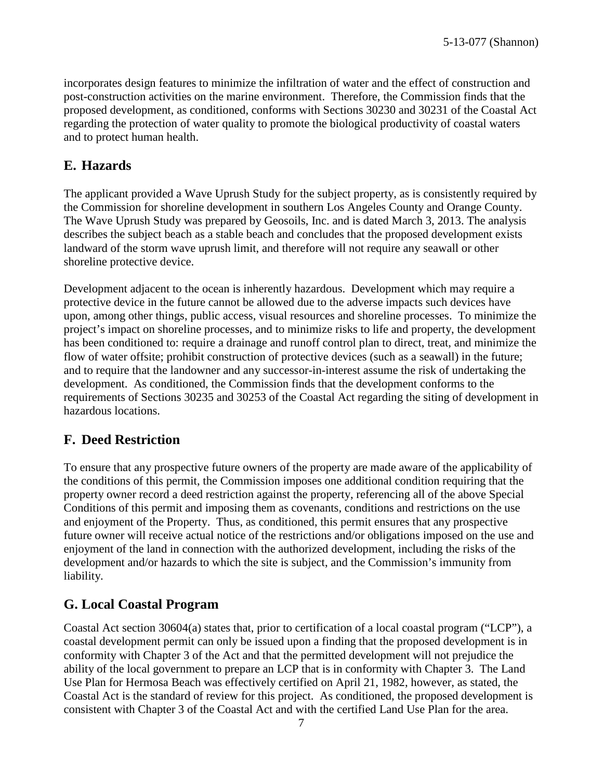incorporates design features to minimize the infiltration of water and the effect of construction and post-construction activities on the marine environment. Therefore, the Commission finds that the proposed development, as conditioned, conforms with Sections 30230 and 30231 of the Coastal Act regarding the protection of water quality to promote the biological productivity of coastal waters and to protect human health.

### <span id="page-6-0"></span>**E. Hazards**

The applicant provided a Wave Uprush Study for the subject property, as is consistently required by the Commission for shoreline development in southern Los Angeles County and Orange County. The Wave Uprush Study was prepared by Geosoils, Inc. and is dated March 3, 2013. The analysis describes the subject beach as a stable beach and concludes that the proposed development exists landward of the storm wave uprush limit, and therefore will not require any seawall or other shoreline protective device.

Development adjacent to the ocean is inherently hazardous. Development which may require a protective device in the future cannot be allowed due to the adverse impacts such devices have upon, among other things, public access, visual resources and shoreline processes. To minimize the project's impact on shoreline processes, and to minimize risks to life and property, the development has been conditioned to: require a drainage and runoff control plan to direct, treat, and minimize the flow of water offsite; prohibit construction of protective devices (such as a seawall) in the future; and to require that the landowner and any successor-in-interest assume the risk of undertaking the development. As conditioned, the Commission finds that the development conforms to the requirements of Sections 30235 and 30253 of the Coastal Act regarding the siting of development in hazardous locations.

### <span id="page-6-1"></span>**F. Deed Restriction**

To ensure that any prospective future owners of the property are made aware of the applicability of the conditions of this permit, the Commission imposes one additional condition requiring that the property owner record a deed restriction against the property, referencing all of the above Special Conditions of this permit and imposing them as covenants, conditions and restrictions on the use and enjoyment of the Property. Thus, as conditioned, this permit ensures that any prospective future owner will receive actual notice of the restrictions and/or obligations imposed on the use and enjoyment of the land in connection with the authorized development, including the risks of the development and/or hazards to which the site is subject, and the Commission's immunity from liability.

## <span id="page-6-2"></span>**G. Local Coastal Program**

Coastal Act section 30604(a) states that, prior to certification of a local coastal program ("LCP"), a coastal development permit can only be issued upon a finding that the proposed development is in conformity with Chapter 3 of the Act and that the permitted development will not prejudice the ability of the local government to prepare an LCP that is in conformity with Chapter 3. The Land Use Plan for Hermosa Beach was effectively certified on April 21, 1982, however, as stated, the Coastal Act is the standard of review for this project. As conditioned, the proposed development is consistent with Chapter 3 of the Coastal Act and with the certified Land Use Plan for the area.